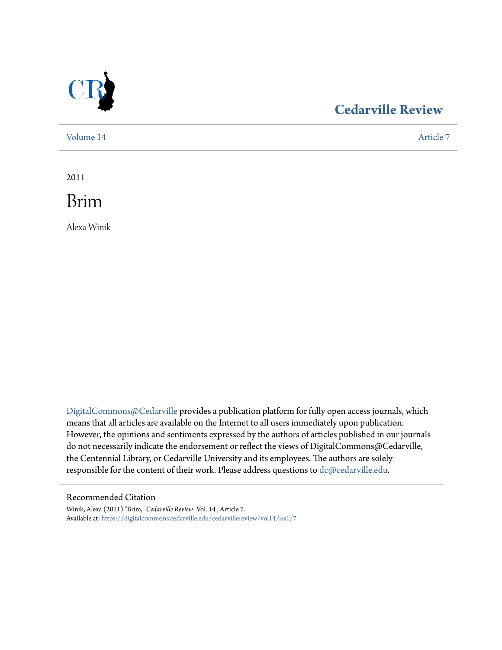

# **[Cedarville Review](https://digitalcommons.cedarville.edu/cedarvillereview?utm_source=digitalcommons.cedarville.edu%2Fcedarvillereview%2Fvol14%2Fiss1%2F7&utm_medium=PDF&utm_campaign=PDFCoverPages)**

[Volume 14](https://digitalcommons.cedarville.edu/cedarvillereview/vol14?utm_source=digitalcommons.cedarville.edu%2Fcedarvillereview%2Fvol14%2Fiss1%2F7&utm_medium=PDF&utm_campaign=PDFCoverPages) [Article 7](https://digitalcommons.cedarville.edu/cedarvillereview/vol14/iss1/7?utm_source=digitalcommons.cedarville.edu%2Fcedarvillereview%2Fvol14%2Fiss1%2F7&utm_medium=PDF&utm_campaign=PDFCoverPages)

2011

Brim

Alexa Winik

[DigitalCommons@Cedarville](http://digitalcommons.cedarville.edu) provides a publication platform for fully open access journals, which means that all articles are available on the Internet to all users immediately upon publication. However, the opinions and sentiments expressed by the authors of articles published in our journals do not necessarily indicate the endorsement or reflect the views of DigitalCommons@Cedarville, the Centennial Library, or Cedarville University and its employees. The authors are solely responsible for the content of their work. Please address questions to [dc@cedarville.edu](mailto:dc@cedarville.edu).

#### Recommended Citation

Winik, Alexa (2011) "Brim," *Cedarville Review*: Vol. 14 , Article 7. Available at: [https://digitalcommons.cedarville.edu/cedarvillereview/vol14/iss1/7](https://digitalcommons.cedarville.edu/cedarvillereview/vol14/iss1/7?utm_source=digitalcommons.cedarville.edu%2Fcedarvillereview%2Fvol14%2Fiss1%2F7&utm_medium=PDF&utm_campaign=PDFCoverPages)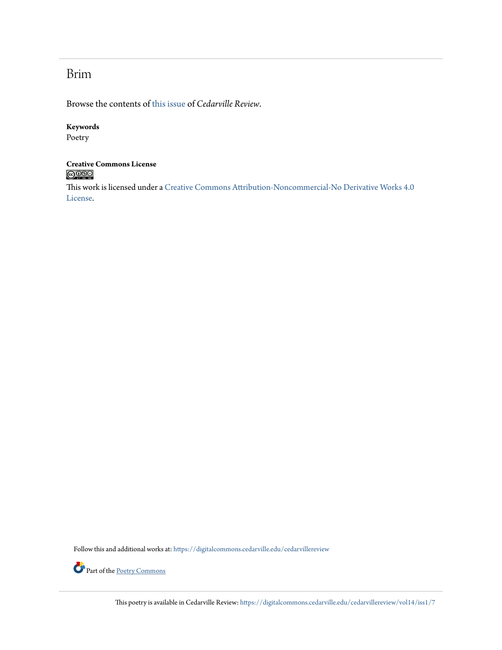## Brim

Browse the contents of [this issue](https://digitalcommons.cedarville.edu/cedarvillereview/vol14/iss1) of *Cedarville Review*.

#### **Keywords**

Poetry

#### **Creative Commons License**  $\bigcirc$  000

This work is licensed under a [Creative Commons Attribution-Noncommercial-No Derivative Works 4.0](http://creativecommons.org/licenses/by-nc-nd/4.0/) [License.](http://creativecommons.org/licenses/by-nc-nd/4.0/)

Follow this and additional works at: [https://digitalcommons.cedarville.edu/cedarvillereview](https://digitalcommons.cedarville.edu/cedarvillereview?utm_source=digitalcommons.cedarville.edu%2Fcedarvillereview%2Fvol14%2Fiss1%2F7&utm_medium=PDF&utm_campaign=PDFCoverPages)



This poetry is available in Cedarville Review: [https://digitalcommons.cedarville.edu/cedarvillereview/vol14/iss1/7](https://digitalcommons.cedarville.edu/cedarvillereview/vol14/iss1/7?utm_source=digitalcommons.cedarville.edu%2Fcedarvillereview%2Fvol14%2Fiss1%2F7&utm_medium=PDF&utm_campaign=PDFCoverPages)